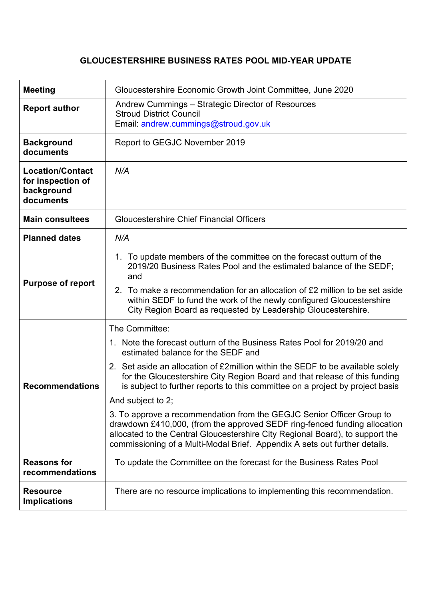## **GLOUCESTERSHIRE BUSINESS RATES POOL MID-YEAR UPDATE**

| <b>Meeting</b>                                                          | Gloucestershire Economic Growth Joint Committee, June 2020                                                                                                                                                                                                                                                                                                                                                                                                                                                                                                                                                                                                                                                                  |  |  |  |  |
|-------------------------------------------------------------------------|-----------------------------------------------------------------------------------------------------------------------------------------------------------------------------------------------------------------------------------------------------------------------------------------------------------------------------------------------------------------------------------------------------------------------------------------------------------------------------------------------------------------------------------------------------------------------------------------------------------------------------------------------------------------------------------------------------------------------------|--|--|--|--|
| <b>Report author</b>                                                    | Andrew Cummings - Strategic Director of Resources<br><b>Stroud District Council</b><br>Email: andrew.cummings@stroud.gov.uk                                                                                                                                                                                                                                                                                                                                                                                                                                                                                                                                                                                                 |  |  |  |  |
| <b>Background</b><br>documents                                          | Report to GEGJC November 2019                                                                                                                                                                                                                                                                                                                                                                                                                                                                                                                                                                                                                                                                                               |  |  |  |  |
| <b>Location/Contact</b><br>for inspection of<br>background<br>documents | N/A                                                                                                                                                                                                                                                                                                                                                                                                                                                                                                                                                                                                                                                                                                                         |  |  |  |  |
| <b>Main consultees</b>                                                  | <b>Gloucestershire Chief Financial Officers</b>                                                                                                                                                                                                                                                                                                                                                                                                                                                                                                                                                                                                                                                                             |  |  |  |  |
| <b>Planned dates</b>                                                    | N/A                                                                                                                                                                                                                                                                                                                                                                                                                                                                                                                                                                                                                                                                                                                         |  |  |  |  |
| <b>Purpose of report</b>                                                | 1. To update members of the committee on the forecast outturn of the<br>2019/20 Business Rates Pool and the estimated balance of the SEDF;<br>and<br>2. To make a recommendation for an allocation of £2 million to be set aside<br>within SEDF to fund the work of the newly configured Gloucestershire<br>City Region Board as requested by Leadership Gloucestershire.                                                                                                                                                                                                                                                                                                                                                   |  |  |  |  |
| <b>Recommendations</b>                                                  | The Committee:<br>1. Note the forecast outturn of the Business Rates Pool for 2019/20 and<br>estimated balance for the SEDF and<br>2. Set aside an allocation of £2 million within the SEDF to be available solely<br>for the Gloucestershire City Region Board and that release of this funding<br>is subject to further reports to this committee on a project by project basis<br>And subject to 2;<br>3. To approve a recommendation from the GEGJC Senior Officer Group to<br>drawdown £410,000, (from the approved SEDF ring-fenced funding allocation<br>allocated to the Central Gloucestershire City Regional Board), to support the<br>commissioning of a Multi-Modal Brief. Appendix A sets out further details. |  |  |  |  |
| <b>Reasons for</b><br>recommendations                                   | To update the Committee on the forecast for the Business Rates Pool                                                                                                                                                                                                                                                                                                                                                                                                                                                                                                                                                                                                                                                         |  |  |  |  |
| <b>Resource</b><br><b>Implications</b>                                  | There are no resource implications to implementing this recommendation.                                                                                                                                                                                                                                                                                                                                                                                                                                                                                                                                                                                                                                                     |  |  |  |  |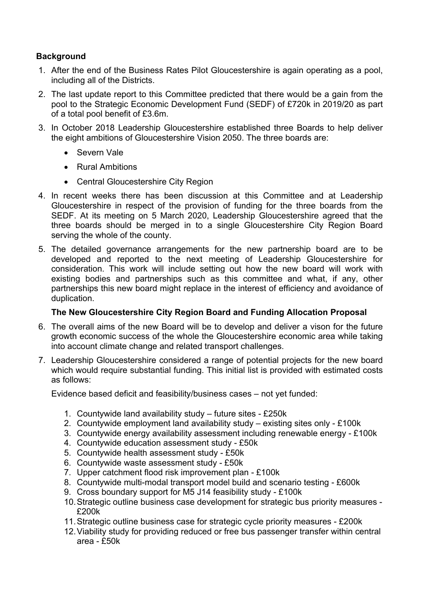## **Background**

- 1. After the end of the Business Rates Pilot Gloucestershire is again operating as a pool, including all of the Districts.
- 2. The last update report to this Committee predicted that there would be a gain from the pool to the Strategic Economic Development Fund (SEDF) of £720k in 2019/20 as part of a total pool benefit of £3.6m.
- 3. In October 2018 Leadership Gloucestershire established three Boards to help deliver the eight ambitions of Gloucestershire Vision 2050. The three boards are:
	- Severn Vale
	- Rural Ambitions
	- Central Gloucestershire City Region
- 4. In recent weeks there has been discussion at this Committee and at Leadership Gloucestershire in respect of the provision of funding for the three boards from the SEDF. At its meeting on 5 March 2020, Leadership Gloucestershire agreed that the three boards should be merged in to a single Gloucestershire City Region Board serving the whole of the county.
- 5. The detailed governance arrangements for the new partnership board are to be developed and reported to the next meeting of Leadership Gloucestershire for consideration. This work will include setting out how the new board will work with existing bodies and partnerships such as this committee and what, if any, other partnerships this new board might replace in the interest of efficiency and avoidance of duplication.

## **The New Gloucestershire City Region Board and Funding Allocation Proposal**

- 6. The overall aims of the new Board will be to develop and deliver a vison for the future growth economic success of the whole the Gloucestershire economic area while taking into account climate change and related transport challenges.
- 7. Leadership Gloucestershire considered a range of potential projects for the new board which would require substantial funding. This initial list is provided with estimated costs as follows:

Evidence based deficit and feasibility/business cases – not yet funded:

- 1. Countywide land availability study future sites £250k
- 2. Countywide employment land availability study existing sites only £100k
- 3. Countywide energy availability assessment including renewable energy £100k
- 4. Countywide education assessment study £50k
- 5. Countywide health assessment study £50k
- 6. Countywide waste assessment study £50k
- 7. Upper catchment flood risk improvement plan £100k
- 8. Countywide multi-modal transport model build and scenario testing £600k
- 9. Cross boundary support for M5 J14 feasibility study £100k
- 10.Strategic outline business case development for strategic bus priority measures £200k
- 11.Strategic outline business case for strategic cycle priority measures £200k
- 12.Viability study for providing reduced or free bus passenger transfer within central area - £50k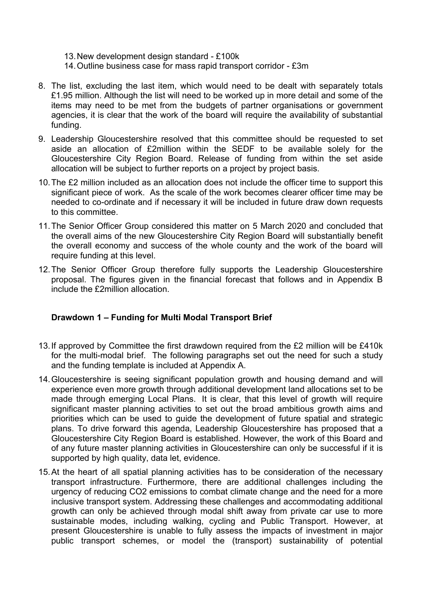- 13.New development design standard £100k
- 14.Outline business case for mass rapid transport corridor £3m
- 8. The list, excluding the last item, which would need to be dealt with separately totals £1.95 million. Although the list will need to be worked up in more detail and some of the items may need to be met from the budgets of partner organisations or government agencies, it is clear that the work of the board will require the availability of substantial funding.
- 9. Leadership Gloucestershire resolved that this committee should be requested to set aside an allocation of £2million within the SEDF to be available solely for the Gloucestershire City Region Board. Release of funding from within the set aside allocation will be subject to further reports on a project by project basis.
- 10.The £2 million included as an allocation does not include the officer time to support this significant piece of work. As the scale of the work becomes clearer officer time may be needed to co-ordinate and if necessary it will be included in future draw down requests to this committee.
- 11.The Senior Officer Group considered this matter on 5 March 2020 and concluded that the overall aims of the new Gloucestershire City Region Board will substantially benefit the overall economy and success of the whole county and the work of the board will require funding at this level.
- 12.The Senior Officer Group therefore fully supports the Leadership Gloucestershire proposal. The figures given in the financial forecast that follows and in Appendix B include the £2million allocation.

## **Drawdown 1 – Funding for Multi Modal Transport Brief**

- 13.If approved by Committee the first drawdown required from the £2 million will be £410k for the multi-modal brief. The following paragraphs set out the need for such a study and the funding template is included at Appendix A.
- 14.Gloucestershire is seeing significant population growth and housing demand and will experience even more growth through additional development land allocations set to be made through emerging Local Plans. It is clear, that this level of growth will require significant master planning activities to set out the broad ambitious growth aims and priorities which can be used to guide the development of future spatial and strategic plans. To drive forward this agenda, Leadership Gloucestershire has proposed that a Gloucestershire City Region Board is established. However, the work of this Board and of any future master planning activities in Gloucestershire can only be successful if it is supported by high quality, data let, evidence.
- 15.At the heart of all spatial planning activities has to be consideration of the necessary transport infrastructure. Furthermore, there are additional challenges including the urgency of reducing CO2 emissions to combat climate change and the need for a more inclusive transport system. Addressing these challenges and accommodating additional growth can only be achieved through modal shift away from private car use to more sustainable modes, including walking, cycling and Public Transport. However, at present Gloucestershire is unable to fully assess the impacts of investment in major public transport schemes, or model the (transport) sustainability of potential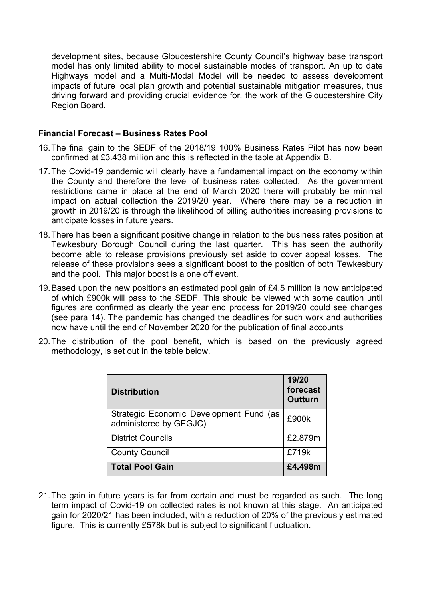development sites, because Gloucestershire County Council's highway base transport model has only limited ability to model sustainable modes of transport. An up to date Highways model and a Multi-Modal Model will be needed to assess development impacts of future local plan growth and potential sustainable mitigation measures, thus driving forward and providing crucial evidence for, the work of the Gloucestershire City Region Board.

#### **Financial Forecast – Business Rates Pool**

- 16.The final gain to the SEDF of the 2018/19 100% Business Rates Pilot has now been confirmed at £3.438 million and this is reflected in the table at Appendix B.
- 17.The Covid-19 pandemic will clearly have a fundamental impact on the economy within the County and therefore the level of business rates collected. As the government restrictions came in place at the end of March 2020 there will probably be minimal impact on actual collection the 2019/20 year. Where there may be a reduction in growth in 2019/20 is through the likelihood of billing authorities increasing provisions to anticipate losses in future years.
- 18.There has been a significant positive change in relation to the business rates position at Tewkesbury Borough Council during the last quarter. This has seen the authority become able to release provisions previously set aside to cover appeal losses. The release of these provisions sees a significant boost to the position of both Tewkesbury and the pool. This major boost is a one off event.
- 19.Based upon the new positions an estimated pool gain of £4.5 million is now anticipated of which £900k will pass to the SEDF. This should be viewed with some caution until figures are confirmed as clearly the year end process for 2019/20 could see changes (see para 14). The pandemic has changed the deadlines for such work and authorities now have until the end of November 2020 for the publication of final accounts
- 20.The distribution of the pool benefit, which is based on the previously agreed methodology, is set out in the table below.

| <b>Distribution</b>                                               | 19/20<br>forecast<br>Outturn |  |
|-------------------------------------------------------------------|------------------------------|--|
| Strategic Economic Development Fund (as<br>administered by GEGJC) | £900k                        |  |
| <b>District Councils</b>                                          | £2.879m                      |  |
| <b>County Council</b>                                             | £719k                        |  |
| <b>Total Pool Gain</b>                                            | £4.498m                      |  |

21.The gain in future years is far from certain and must be regarded as such. The long term impact of Covid-19 on collected rates is not known at this stage. An anticipated gain for 2020/21 has been included, with a reduction of 20% of the previously estimated figure. This is currently £578k but is subject to significant fluctuation.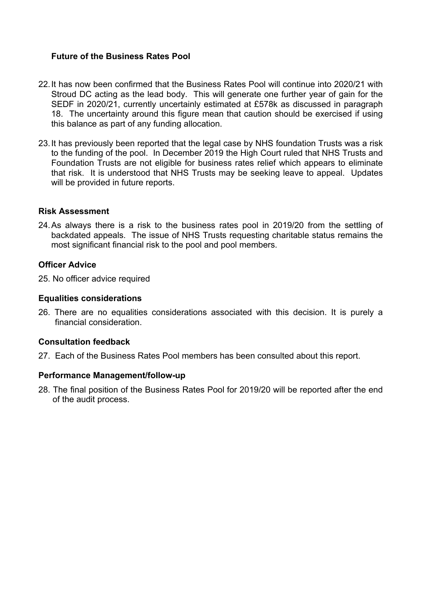#### **Future of the Business Rates Pool**

- 22.It has now been confirmed that the Business Rates Pool will continue into 2020/21 with Stroud DC acting as the lead body. This will generate one further year of gain for the SEDF in 2020/21, currently uncertainly estimated at £578k as discussed in paragraph 18. The uncertainty around this figure mean that caution should be exercised if using this balance as part of any funding allocation.
- 23.It has previously been reported that the legal case by NHS foundation Trusts was a risk to the funding of the pool. In December 2019 the High Court ruled that NHS Trusts and Foundation Trusts are not eligible for business rates relief which appears to eliminate that risk. It is understood that NHS Trusts may be seeking leave to appeal. Updates will be provided in future reports.

#### **Risk Assessment**

24.As always there is a risk to the business rates pool in 2019/20 from the settling of backdated appeals. The issue of NHS Trusts requesting charitable status remains the most significant financial risk to the pool and pool members.

#### **Officer Advice**

25. No officer advice required

#### **Equalities considerations**

26. There are no equalities considerations associated with this decision. It is purely a financial consideration.

#### **Consultation feedback**

27. Each of the Business Rates Pool members has been consulted about this report.

#### **Performance Management/follow-up**

28. The final position of the Business Rates Pool for 2019/20 will be reported after the end of the audit process.